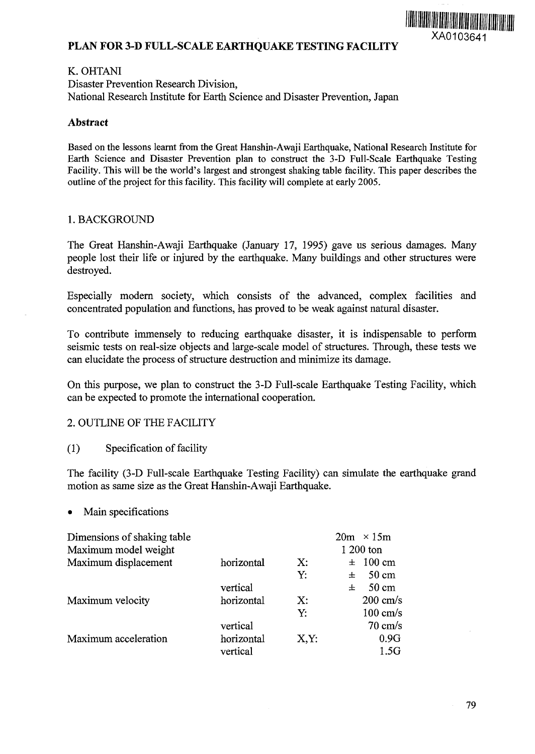

# **PLAN FOR 3-D FULL-SCALE EARTHQUAKE TESTING FACILITY**

### K. OHTANI

Disaster Prevention Research Division, National Research Institute for Earth Science and Disaster Prevention, Japan

## **Abstract**

Based on the lessons learnt from the Great Hanshin-Awaji Earthquake, National Research Institute for Earth Science and Disaster Prevention plan to construct the 3-D Full-Scale Earthquake Testing Facility. This will be the world's largest and strongest shaking table facility. This paper describes the outline of the project for this facility. This facility will complete at early 2005.

### 1. BACKGROUND

The Great Hanshin-Awaji Earthquake (January 17, 1995) gave us serious damages. Many people lost their life or injured by the earthquake. Many buildings and other structures were destroyed.

Especially modern society, which consists of the advanced, complex facilities and concentrated population and functions, has proved to be weak against natural disaster.

To contribute immensely to reducing earthquake disaster, it is indispensable to perform seismic tests on real-size objects and large-scale model of structures. Through, these tests we can elucidate the process of structure destruction and minimize its damage.

On this purpose, we plan to construct the 3-D Full-scale Earthquake Testing Facility, which can be expected to promote the international cooperation.

#### 2. OUTLINE OF THE FACILITY

(1) Specification of facility

The facility (3-D Full-scale Earthquake Testing Facility) can simulate the earthquake grand motion as same size as the Great Hanshin-Awaji Earthquake.

#### • Main specifications

|            |      | $20m \times 15m$     |
|------------|------|----------------------|
|            |      | 1 200 ton            |
| horizontal | X:   | $\pm 100 \text{ cm}$ |
|            | Y:   | $50 \text{ cm}$<br>士 |
| vertical   |      | $50 \text{ cm}$<br>士 |
| horizontal | X:   | $200 \text{ cm/s}$   |
|            | Y.   | $100 \text{ cm/s}$   |
| vertical   |      | $70 \text{ cm/s}$    |
| horizontal | X,Y: | 0.9G                 |
| vertical   |      | 1.5G                 |
|            |      |                      |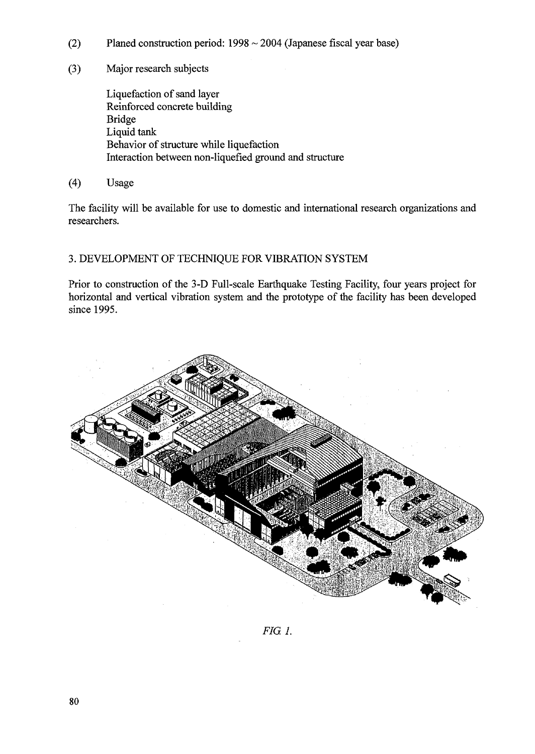- (2) Planed construction period:  $1998 \sim 2004$  (Japanese fiscal year base)
- (3) Major research subjects

Liquefaction of sand layer Reinforced concrete building Bridge Liquid tank Behavior of structure while liquefaction Interaction between non-liquefied ground and structure

(4) Usage

The facility will be available for use to domestic and international research organizations and researchers.

# 3. DEVELOPMENT OF TECHNIQUE FOR VIBRATION SYSTEM

Prior to construction of the 3-D Full-scale Earthquake Testing Facility, four years project for horizontal and vertical vibration system and the prototype of the facility has been developed since 1995.



*FIG. 1.*